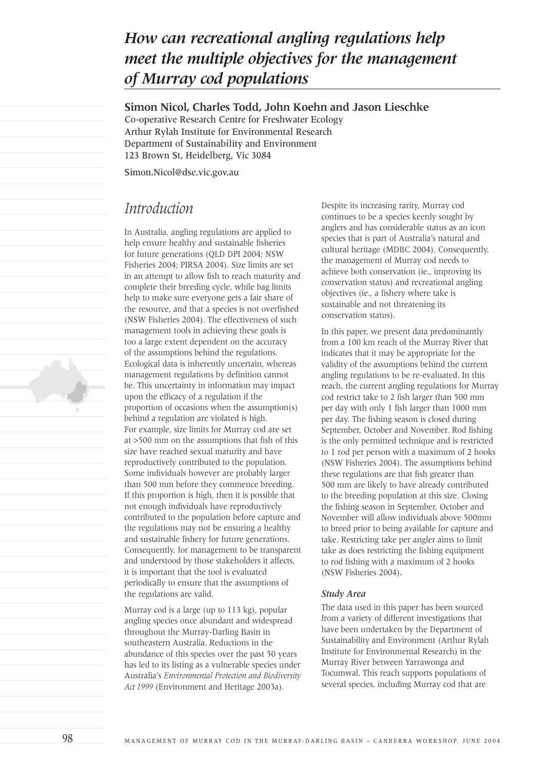# *How can recreational angling regulations help meet the multiple objectives for the management of Murray cod populations*

### **Simon Nicol, Charles Todd, John Koehn and Jason Lieschke**

Co-operative Research Centre for Freshwater Ecology Arthur Rylah Institute for Environmental Research Department of Sustainability and Environment 123 Brown St, Heidelberg, Vic 3084

Simon.Nicol@dse.vic.gov.au

## *Introduction*

In Australia, angling regulations are applied to help ensure healthy and sustainable fisheries for future generations (QLD DPI 2004; NSW Fisheries 2004; PIRSA 2004). Size limits are set in an attempt to allow fish to reach maturity and complete their breeding cycle, while bag limits help to make sure everyone gets a fair share of the resource, and that a species is not overfished (NSW Fisheries 2004). The effectiveness of such management tools in achieving these goals is too a large extent dependent on the accuracy of the assumptions behind the regulations. Ecological data is inherently uncertain, whereas management regulations by definition cannot be. This uncertainty in information may impact upon the efficacy of a regulation if the proportion of occasions when the assumption(s) behind a regulation are violated is high. For example, size limits for Murray cod are set at >500 mm on the assumptions that fish of this size have reached sexual maturity and have reproductively contributed to the population. Some individuals however are probably larger than 500 mm before they commence breeding. If this proportion is high, then it is possible that not enough individuals have reproductively contributed to the population before capture and the regulations may not be ensuring a healthy and sustainable fishery for future generations. Consequently, for management to be transparent and understood by those stakeholders it affects, it is important that the tool is evaluated periodically to ensure that the assumptions of the regulations are valid.

Murray cod is a large (up to 113 kg), popular angling species once abundant and widespread throughout the Murray-Darling Basin in southeastern Australia. Reductions in the abundance of this species over the past 50 years has led to its listing as a vulnerable species under Australia's *Environmental Protection and Biodiversity Act 1999* (Environment and Heritage 2003a).

Despite its increasing rarity, Murray cod continues to be a species keenly sought by anglers and has considerable status as an icon species that is part of Australia's natural and cultural heritage (MDBC 2004). Consequently, the management of Murray cod needs to achieve both conservation (ie., improving its conservation status) and recreational angling objectives (ie., a fishery where take is sustainable and not threatening its conservation status).

In this paper, we present data predominantly from a 100 km reach of the Murray River that indicates that it may be appropriate for the validity of the assumptions behind the current angling regulations to be re-evaluated. In this reach, the current angling regulations for Murray cod restrict take to 2 fish larger than 500 mm per day with only 1 fish larger than 1000 mm per day. The fishing season is closed during September, October and November. Rod fishing is the only permitted technique and is restricted to 1 rod per person with a maximum of 2 hooks (NSW Fisheries 2004). The assumptions behind these regulations are that fish greater than 500 mm are likely to have already contributed to the breeding population at this size. Closing the fishing season in September, October and November will allow individuals above 500mm to breed prior to being available for capture and take. Restricting take per angler aims to limit take as does restricting the fishing equipment to rod fishing with a maximum of 2 hooks (NSW Fisheries 2004)**.**

### *Study Area*

The data used in this paper has been sourced from a variety of different investigations that have been undertaken by the Department of Sustainability and Environment (Arthur Rylah Institute for Environmental Research) in the Murray River between Yarrawonga and Tocumwal. This reach supports populations of several species, including Murray cod that are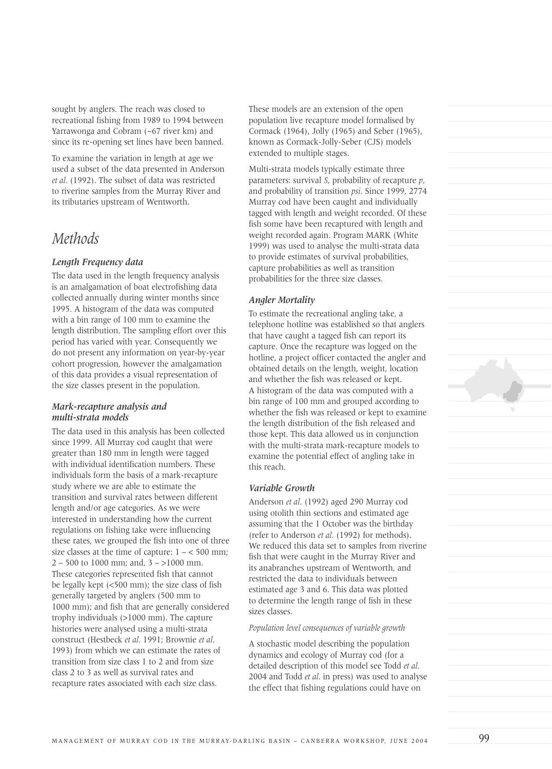sought by anglers. The reach was closed to recreational fishing from 1989 to 1994 between Yarrawonga and Cobram (~67 river km) and since its re-opening set lines have been banned.

To examine the variation in length at age we used a subset of the data presented in Anderson *et al.* (1992). The subset of data was restricted to riverine samples from the Murray River and its tributaries upstream of Wentworth.

### *Methods*

### *Length Frequency data*

The data used in the length frequency analysis is an amalgamation of boat electrofishing data collected annually during winter months since 1995. A histogram of the data was computed with a bin range of 100 mm to examine the length distribution. The sampling effort over this period has varied with year. Consequently we do not present any information on year-by-year cohort progression, however the amalgamation of this data provides a visual representation of the size classes present in the population.

### *Mark-recapture analysis and multi-strata models*

The data used in this analysis has been collected since 1999. All Murray cod caught that were greater than 180 mm in length were tagged with individual identification numbers. These individuals form the basis of a mark-recapture study where we are able to estimate the transition and survival rates between different length and/or age categories. As we were interested in understanding how the current regulations on fishing take were influencing these rates, we grouped the fish into one of three size classes at the time of capture:  $1 - \xi$  500 mm;  $2 - 500$  to 1000 mm; and,  $3 - >1000$  mm. These categories represented fish that cannot be legally kept (<500 mm); the size class of fish generally targeted by anglers (500 mm to 1000 mm); and fish that are generally considered trophy individuals (>1000 mm). The capture histories were analysed using a multi-strata construct (Hestbeck *et al*. 1991; Brownie *et al*. 1993) from which we can estimate the rates of transition from size class 1 to 2 and from size class 2 to 3 as well as survival rates and recapture rates associated with each size class.

These models are an extension of the open population live recapture model formalised by Cormack (1964), Jolly (1965) and Seber (1965), known as Cormack-Jolly-Seber (CJS) models extended to multiple stages.

Multi-strata models typically estimate three parameters: survival *S*, probability of recapture *p*, and probability of transition *psi*. Since 1999, 2774 Murray cod have been caught and individually tagged with length and weight recorded. Of these fish some have been recaptured with length and weight recorded again. Program MARK (White 1999) was used to analyse the multi-strata data to provide estimates of survival probabilities, capture probabilities as well as transition probabilities for the three size classes.

### *Angler Mortality*

To estimate the recreational angling take, a telephone hotline was established so that anglers that have caught a tagged fish can report its capture. Once the recapture was logged on the hotline, a project officer contacted the angler and obtained details on the length, weight, location and whether the fish was released or kept. A histogram of the data was computed with a bin range of 100 mm and grouped according to whether the fish was released or kept to examine the length distribution of the fish released and those kept. This data allowed us in conjunction with the multi-strata mark-recapture models to examine the potential effect of angling take in this reach.

### *Variable Growth*

Anderson *et al*. (1992) aged 290 Murray cod using otolith thin sections and estimated age assuming that the 1 October was the birthday (refer to Anderson *et al*. (1992) for methods). We reduced this data set to samples from riverine fish that were caught in the Murray River and its anabranches upstream of Wentworth, and restricted the data to individuals between estimated age 3 and 6. This data was plotted to determine the length range of fish in these sizes classes.

#### *Population level consequences of variable growth*

A stochastic model describing the population dynamics and ecology of Murray cod (for a detailed description of this model see Todd *et al*. 2004 and Todd *et al*. in press) was used to analyse the effect that fishing regulations could have on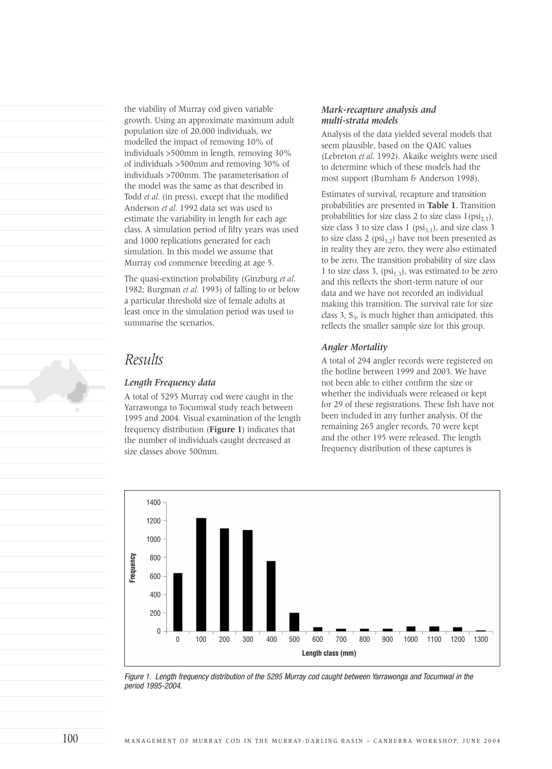the viability of Murray cod given variable growth. Using an approximate maximum adult population size of 20,000 individuals, we modelled the impact of removing 10% of individuals >500mm in length, removing 30% of individuals >500mm and removing 30% of individuals >700mm. The parameterisation of the model was the same as that described in Todd *et al.* (in press), except that the modified Anderson *et al.* 1992 data set was used to estimate the variability in length for each age class. A simulation period of fifty years was used and 1000 replications generated for each simulation. In this model we assume that Murray cod commence breeding at age 5.

The quasi-extinction probability (Ginzburg *et al*. 1982; Burgman *et al*. 1993) of falling to or below a particular threshold size of female adults at least once in the simulation period was used to summarise the scenarios.

### *Results*

### *Length Frequency data*

A total of 5295 Murray cod were caught in the Yarrawonga to Tocumwal study reach between 1995 and 2004. Visual examination of the length frequency distribution (**Figure 1**) indicates that the number of individuals caught decreased at size classes above 500mm.

### *Mark-recapture analysis and multi-strata models*

Analysis of the data yielded several models that seem plausible, based on the QAIC values (Lebreton *et al*. 1992). Akaike weights were used to determine which of these models had the most support (Burnham & Anderson 1998).

Estimates of survival, recapture and transition probabilities are presented in **Table 1**. Transition probabilities for size class 2 to size class  $1(psi_{2,1})$ , size class 3 to size class 1 ( $psi_{3,1}$ ), and size class 3 to size class 2 (psi<sub>3,2</sub>) have not been presented as in reality they are zero, they were also estimated to be zero. The transition probability of size class 1 to size class 3, (psi<sub>1,3</sub>), was estimated to be zero and this reflects the short-term nature of our data and we have not recorded an individual making this transition. The survival rate for size class 3,  $S_3$ , is much higher than anticipated, this reflects the smaller sample size for this group.

#### *Angler Mortality*

A total of 294 angler records were registered on the hotline between 1999 and 2003. We have not been able to either confirm the size or whether the individuals were released or kept for 29 of these registrations. These fish have not been included in any further analysis. Of the remaining 265 angler records, 70 were kept and the other 195 were released. The length frequency distribution of these captures is



Figure 1. Length frequency distribution of the 5295 Murray cod caught between Yarrawonga and Tocumwal in the period 1995-2004.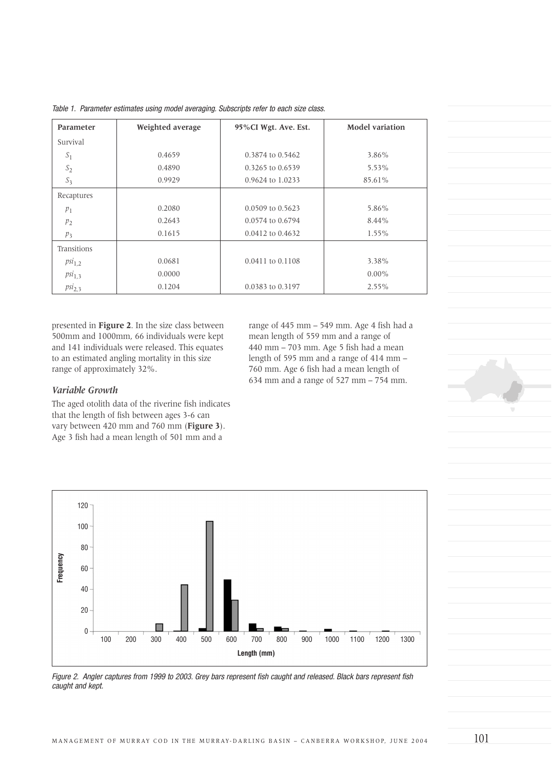| Parameter      | Weighted average | 95%CI Wgt. Ave. Est. | <b>Model variation</b> |
|----------------|------------------|----------------------|------------------------|
| Survival       |                  |                      |                        |
| $S_1$          | 0.4659           | 0.3874 to 0.5462     | 3.86%                  |
| $S_2$          | 0.4890           | 0.3265 to 0.6539     | 5.53%                  |
| $S_3$          | 0.9929           | 0.9624 to 1.0233     | 85.61%                 |
| Recaptures     |                  |                      |                        |
| $p_1$          | 0.2080           | 0.0509 to 0.5623     | 5.86%                  |
| $p_2$          | 0.2643           | 0.0574 to 0.6794     | $8.44\%$               |
| p <sub>3</sub> | 0.1615           | 0.0412 to 0.4632     | $1.55\%$               |
| Transitions    |                  |                      |                        |
| $psi_{1,2}$    | 0.0681           | 0.0411 to 0.1108     | 3.38%                  |
| $psi_{1,3}$    | 0.0000           |                      | $0.00\%$               |
| $psi_{2,3}$    | 0.1204           | 0.0383 to 0.3197     | $2.55\%$               |

Table 1. Parameter estimates using model averaging. Subscripts refer to each size class.

presented in **Figure 2**. In the size class between 500mm and 1000mm, 66 individuals were kept and 141 individuals were released. This equates to an estimated angling mortality in this size range of approximately 32%.

range of 445 mm – 549 mm. Age 4 fish had a mean length of 559 mm and a range of 440 mm – 703 mm. Age 5 fish had a mean length of 595 mm and a range of 414 mm – 760 mm. Age 6 fish had a mean length of 634 mm and a range of 527 mm – 754 mm.

### *Variable Growth*

The aged otolith data of the riverine fish indicates that the length of fish between ages 3-6 can vary between 420 mm and 760 mm (**Figure 3**). Age 3 fish had a mean length of 501 mm and a



Figure 2. Angler captures from 1999 to 2003. Grey bars represent fish caught and released. Black bars represent fish caught and kept.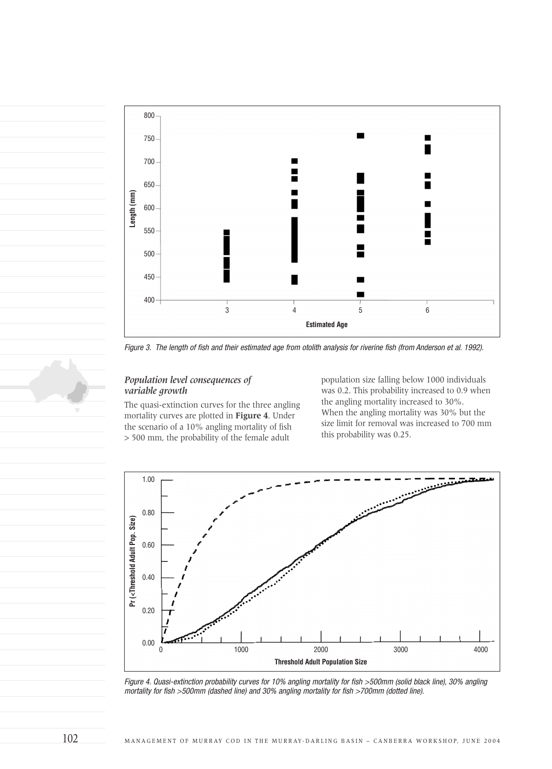

Figure 3. The length of fish and their estimated age from otolith analysis for riverine fish (from Anderson et al. 1992).

### *Population level consequences of variable growth*

The quasi-extinction curves for the three angling mortality curves are plotted in **Figure 4**. Under the scenario of a 10% angling mortality of fish > 500 mm, the probability of the female adult

population size falling below 1000 individuals was 0.2. This probability increased to 0.9 when the angling mortality increased to 30%. When the angling mortality was 30% but the size limit for removal was increased to 700 mm this probability was 0.25.



Figure 4. Quasi-extinction probability curves for 10% angling mortality for fish >500mm (solid black line), 30% angling mortality for fish >500mm (dashed line) and 30% angling mortality for fish >700mm (dotted line).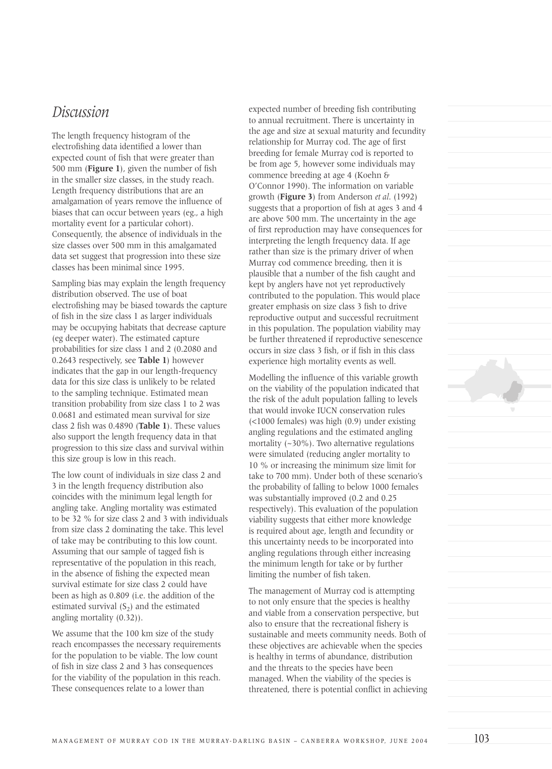### *Discussion*

The length frequency histogram of the electrofishing data identified a lower than expected count of fish that were greater than 500 mm (**Figure 1**), given the number of fish in the smaller size classes, in the study reach. Length frequency distributions that are an amalgamation of years remove the influence of biases that can occur between years (eg., a high mortality event for a particular cohort). Consequently, the absence of individuals in the size classes over 500 mm in this amalgamated data set suggest that progression into these size classes has been minimal since 1995.

Sampling bias may explain the length frequency distribution observed. The use of boat electrofishing may be biased towards the capture of fish in the size class 1 as larger individuals may be occupying habitats that decrease capture (eg deeper water). The estimated capture probabilities for size class 1 and 2 (0.2080 and 0.2643 respectively, see **Table 1**) however indicates that the gap in our length-frequency data for this size class is unlikely to be related to the sampling technique. Estimated mean transition probability from size class 1 to 2 was 0.0681 and estimated mean survival for size class 2 fish was 0.4890 (**Table 1**). These values also support the length frequency data in that progression to this size class and survival within this size group is low in this reach.

The low count of individuals in size class 2 and 3 in the length frequency distribution also coincides with the minimum legal length for angling take. Angling mortality was estimated to be 32 % for size class 2 and 3 with individuals from size class 2 dominating the take. This level of take may be contributing to this low count. Assuming that our sample of tagged fish is representative of the population in this reach, in the absence of fishing the expected mean survival estimate for size class 2 could have been as high as 0.809 (i.e. the addition of the estimated survival  $(S_2)$  and the estimated angling mortality (0.32)).

We assume that the 100 km size of the study reach encompasses the necessary requirements for the population to be viable. The low count of fish in size class 2 and 3 has consequences for the viability of the population in this reach. These consequences relate to a lower than

expected number of breeding fish contributing to annual recruitment. There is uncertainty in the age and size at sexual maturity and fecundity relationship for Murray cod. The age of first breeding for female Murray cod is reported to be from age 5, however some individuals may commence breeding at age 4 (Koehn & O'Connor 1990). The information on variable growth (**Figure 3**) from Anderson *et al*. (1992) suggests that a proportion of fish at ages 3 and 4 are above 500 mm. The uncertainty in the age of first reproduction may have consequences for interpreting the length frequency data. If age rather than size is the primary driver of when Murray cod commence breeding, then it is plausible that a number of the fish caught and kept by anglers have not yet reproductively contributed to the population. This would place greater emphasis on size class 3 fish to drive reproductive output and successful recruitment in this population. The population viability may be further threatened if reproductive senescence occurs in size class 3 fish, or if fish in this class experience high mortality events as well.

Modelling the influence of this variable growth on the viability of the population indicated that the risk of the adult population falling to levels that would invoke IUCN conservation rules (<1000 females) was high (0.9) under existing angling regulations and the estimated angling mortality (~30%). Two alternative regulations were simulated (reducing angler mortality to 10 % or increasing the minimum size limit for take to 700 mm). Under both of these scenario's the probability of falling to below 1000 females was substantially improved (0.2 and 0.25 respectively). This evaluation of the population viability suggests that either more knowledge is required about age, length and fecundity or this uncertainty needs to be incorporated into angling regulations through either increasing the minimum length for take or by further limiting the number of fish taken.

The management of Murray cod is attempting to not only ensure that the species is healthy and viable from a conservation perspective, but also to ensure that the recreational fishery is sustainable and meets community needs. Both of these objectives are achievable when the species is healthy in terms of abundance, distribution and the threats to the species have been managed. When the viability of the species is threatened, there is potential conflict in achieving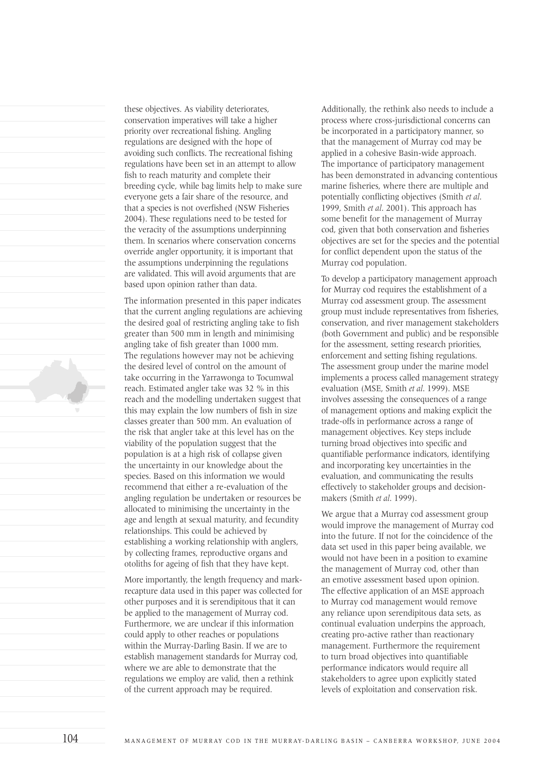these objectives. As viability deteriorates, conservation imperatives will take a higher priority over recreational fishing. Angling regulations are designed with the hope of avoiding such conflicts. The recreational fishing regulations have been set in an attempt to allow fish to reach maturity and complete their breeding cycle, while bag limits help to make sure everyone gets a fair share of the resource, and that a species is not overfished (NSW Fisheries 2004). These regulations need to be tested for the veracity of the assumptions underpinning them. In scenarios where conservation concerns override angler opportunity, it is important that the assumptions underpinning the regulations are validated. This will avoid arguments that are based upon opinion rather than data.

The information presented in this paper indicates that the current angling regulations are achieving the desired goal of restricting angling take to fish greater than 500 mm in length and minimising angling take of fish greater than 1000 mm. The regulations however may not be achieving the desired level of control on the amount of take occurring in the Yarrawonga to Tocumwal reach. Estimated angler take was 32 % in this reach and the modelling undertaken suggest that this may explain the low numbers of fish in size classes greater than 500 mm. An evaluation of the risk that angler take at this level has on the viability of the population suggest that the population is at a high risk of collapse given the uncertainty in our knowledge about the species. Based on this information we would recommend that either a re-evaluation of the angling regulation be undertaken or resources be allocated to minimising the uncertainty in the age and length at sexual maturity, and fecundity relationships. This could be achieved by establishing a working relationship with anglers, by collecting frames, reproductive organs and otoliths for ageing of fish that they have kept.

More importantly, the length frequency and markrecapture data used in this paper was collected for other purposes and it is serendipitous that it can be applied to the management of Murray cod. Furthermore, we are unclear if this information could apply to other reaches or populations within the Murray-Darling Basin. If we are to establish management standards for Murray cod, where we are able to demonstrate that the regulations we employ are valid, then a rethink of the current approach may be required.

Additionally, the rethink also needs to include a process where cross-jurisdictional concerns can be incorporated in a participatory manner, so that the management of Murray cod may be applied in a cohesive Basin-wide approach. The importance of participatory management has been demonstrated in advancing contentious marine fisheries, where there are multiple and potentially conflicting objectives (Smith *et al*. 1999, Smith *et al*. 2001). This approach has some benefit for the management of Murray cod, given that both conservation and fisheries objectives are set for the species and the potential for conflict dependent upon the status of the Murray cod population.

To develop a participatory management approach for Murray cod requires the establishment of a Murray cod assessment group. The assessment group must include representatives from fisheries, conservation, and river management stakeholders (both Government and public) and be responsible for the assessment, setting research priorities, enforcement and setting fishing regulations. The assessment group under the marine model implements a process called management strategy evaluation (MSE, Smith *et al*. 1999). MSE involves assessing the consequences of a range of management options and making explicit the trade-offs in performance across a range of management objectives. Key steps include turning broad objectives into specific and quantifiable performance indicators, identifying and incorporating key uncertainties in the evaluation, and communicating the results effectively to stakeholder groups and decisionmakers (Smith *et al*. 1999).

We argue that a Murray cod assessment group would improve the management of Murray cod into the future. If not for the coincidence of the data set used in this paper being available, we would not have been in a position to examine the management of Murray cod, other than an emotive assessment based upon opinion. The effective application of an MSE approach to Murray cod management would remove any reliance upon serendipitous data sets, as continual evaluation underpins the approach, creating pro-active rather than reactionary management. Furthermore the requirement to turn broad objectives into quantifiable performance indicators would require all stakeholders to agree upon explicitly stated levels of exploitation and conservation risk.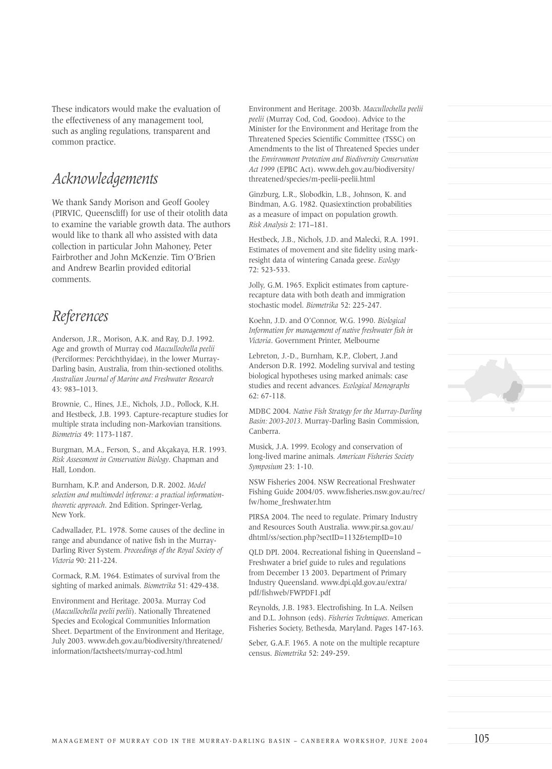These indicators would make the evaluation of the effectiveness of any management tool, such as angling regulations, transparent and common practice.

## *Acknowledgements*

We thank Sandy Morison and Geoff Gooley (PIRVIC, Queenscliff) for use of their otolith data to examine the variable growth data. The authors would like to thank all who assisted with data collection in particular John Mahoney, Peter Fairbrother and John McKenzie. Tim O'Brien and Andrew Bearlin provided editorial comments.

### *References*

Anderson, J.R., Morison, A.K. and Ray, D.J. 1992. Age and growth of Murray cod *Maccullochella peelii* (Perciformes: Percichthyidae), in the lower Murray-Darling basin, Australia, from thin-sectioned otoliths*. Australian Journal of Marine and Freshwater Research* 43: 983–1013.

Brownie, C., Hines, J.E., Nichols, J.D., Pollock, K.H. and Hestbeck, J.B. 1993. Capture-recapture studies for multiple strata including non-Markovian transitions. *Biometrics* 49: 1173-1187.

Burgman, M.A., Ferson, S., and Akçakaya, H.R. 1993. *Risk Assessment in Conservation Biology*. Chapman and Hall, London.

Burnham, K.P. and Anderson, D.R. 2002. *Model selection and multimodel inference: a practical informationtheoretic approach*. 2nd Edition. Springer-Verlag, New York.

Cadwallader, P.L. 1978. Some causes of the decline in range and abundance of native fish in the Murray-Darling River System*. Proceedings of the Royal Society of Victoria* 90: 211-224.

Cormack, R.M. 1964. Estimates of survival from the sighting of marked animals. *Biometrika* 51: 429-438.

Environment and Heritage. 2003a. Murray Cod (*Maccullochella peelii peelii*). Nationally Threatened Species and Ecological Communities Information Sheet. Department of the Environment and Heritage, July 2003. www.deh.gov.au/biodiversity/threatened/ information/factsheets/murray-cod.html

Environment and Heritage. 2003b. *Maccullochella peelii peelii* (Murray Cod, Cod, Goodoo). Advice to the Minister for the Environment and Heritage from the Threatened Species Scientific Committee (TSSC) on Amendments to the list of Threatened Species under the *Environment Protection and Biodiversity Conservation Act 1999* (EPBC Act). www.deh.gov.au/biodiversity/ threatened/species/m-peelii-peelii.html

Ginzburg, L.R., Slobodkin, L.B., Johnson, K. and Bindman, A.G. 1982. Quasiextinction probabilities as a measure of impact on population growth*. Risk Analysis* 2: 171–181.

Hestbeck, J.B., Nichols, J.D. and Malecki, R.A. 1991. Estimates of movement and site fidelity using markresight data of wintering Canada geese. *Ecology*  72: 523-533.

Jolly, G.M. 1965. Explicit estimates from capturerecapture data with both death and immigration stochastic model. *Biometrika* 52: 225-247.

Koehn, J.D. and O'Connor, W.G. 1990. *Biological Information for management of native freshwater fish in Victoria*. Government Printer, Melbourne

Lebreton, J.-D., Burnham, K.P., Clobert, J.and Anderson D.R. 1992. Modeling survival and testing biological hypotheses using marked animals: case studies and recent advances. *Ecological Monographs* 62: 67-118.

MDBC 2004. *Native Fish Strategy for the Murray-Darling Basin: 2003-2013*. Murray-Darling Basin Commission, Canberra.

Musick, J.A. 1999. Ecology and conservation of long-lived marine animals*. American Fisheries Society Symposium* 23: 1-10.

NSW Fisheries 2004. NSW Recreational Freshwater Fishing Guide 2004/05. www.fisheries.nsw.gov.au/rec/ fw/home\_freshwater.htm

PIRSA 2004. The need to regulate. Primary Industry and Resources South Australia. www.pir.sa.gov.au/ dhtml/ss/section.php?sectID=1132&tempID=10

QLD DPI. 2004. Recreational fishing in Queensland – Freshwater a brief guide to rules and regulations from December 13 2003. Department of Primary Industry Queensland. www.dpi.qld.gov.au/extra/ pdf/fishweb/FWPDF1.pdf

Reynolds, J.B. 1983. Electrofishing. In L.A. Neilsen and D.L. Johnson (eds). *Fisheries Techniques*. American Fisheries Society, Bethesda, Maryland. Pages 147-163.

Seber, G.A.F. 1965. A note on the multiple recapture census. *Biometrika* 52: 249-259.